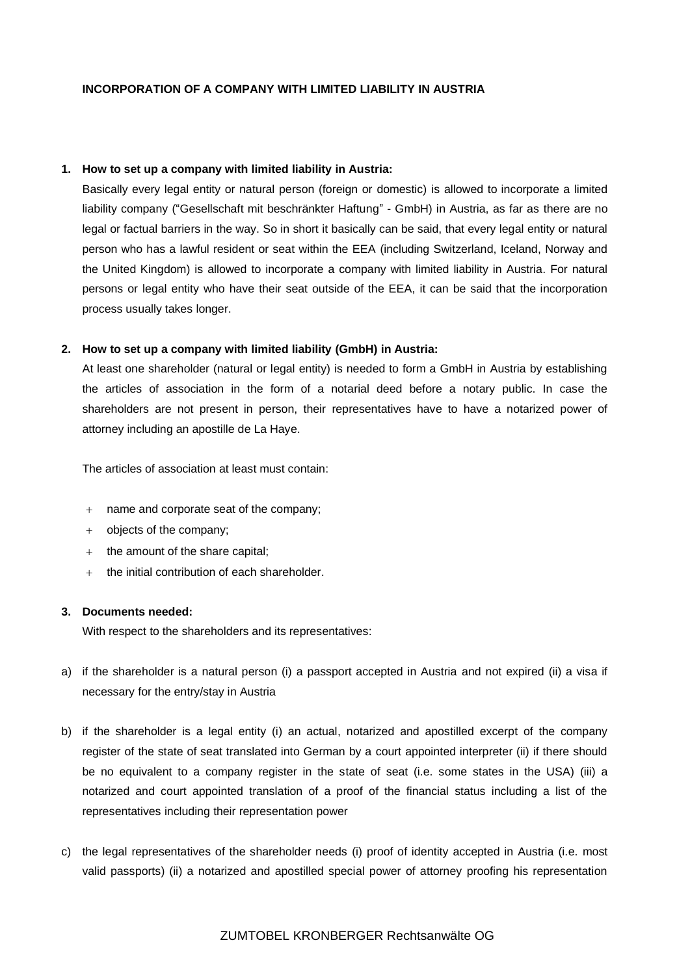### **INCORPORATION OF A COMPANY WITH LIMITED LIABILITY IN AUSTRIA**

#### **1. How to set up a company with limited liability in Austria:**

Basically every legal entity or natural person (foreign or domestic) is allowed to incorporate a limited liability company ("Gesellschaft mit beschränkter Haftung" - GmbH) in Austria, as far as there are no legal or factual barriers in the way. So in short it basically can be said, that every legal entity or natural person who has a lawful resident or seat within the EEA (including Switzerland, Iceland, Norway and the United Kingdom) is allowed to incorporate a company with limited liability in Austria. For natural persons or legal entity who have their seat outside of the EEA, it can be said that the incorporation process usually takes longer.

### **2. How to set up a company with limited liability (GmbH) in Austria:**

At least one shareholder (natural or legal entity) is needed to form a GmbH in Austria by establishing the articles of association in the form of a notarial deed before a notary public. In case the shareholders are not present in person, their representatives have to have a notarized power of attorney including an apostille de La Haye.

The articles of association at least must contain:

- + name and corporate seat of the company;
- + objects of the company;
- + the amount of the share capital;
- + the initial contribution of each shareholder.

#### **3. Documents needed:**

With respect to the shareholders and its representatives:

- a) if the shareholder is a natural person (i) a passport accepted in Austria and not expired (ii) a visa if necessary for the entry/stay in Austria
- b) if the shareholder is a legal entity (i) an actual, notarized and apostilled excerpt of the company register of the state of seat translated into German by a court appointed interpreter (ii) if there should be no equivalent to a company register in the state of seat (i.e. some states in the USA) (iii) a notarized and court appointed translation of a proof of the financial status including a list of the representatives including their representation power
- c) the legal representatives of the shareholder needs (i) proof of identity accepted in Austria (i.e. most valid passports) (ii) a notarized and apostilled special power of attorney proofing his representation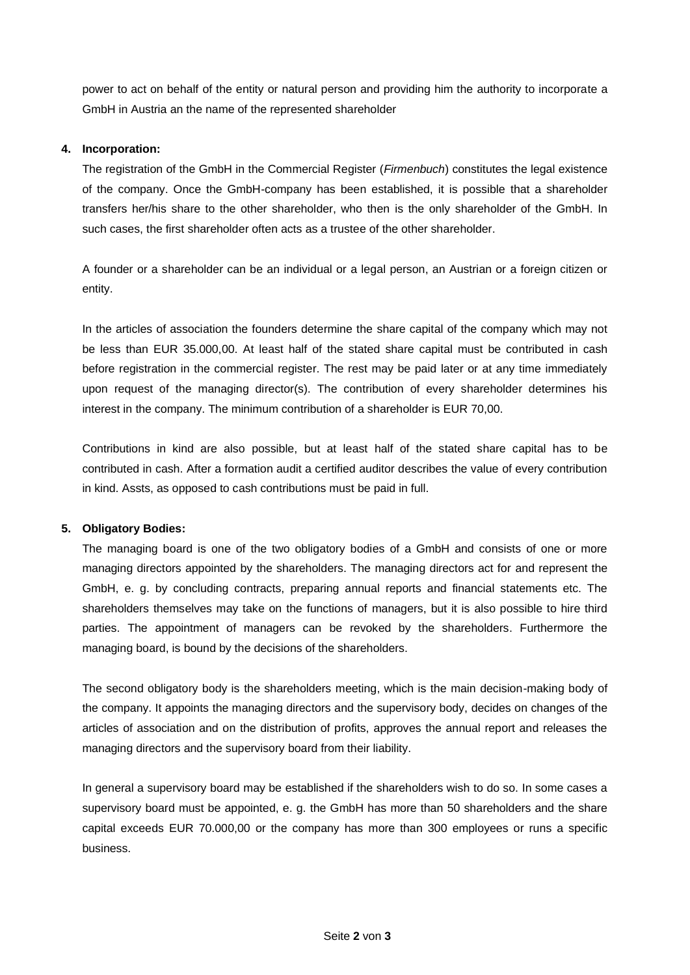power to act on behalf of the entity or natural person and providing him the authority to incorporate a GmbH in Austria an the name of the represented shareholder

## **4. Incorporation:**

The registration of the GmbH in the Commercial Register (*Firmenbuch*) constitutes the legal existence of the company. Once the GmbH-company has been established, it is possible that a shareholder transfers her/his share to the other shareholder, who then is the only shareholder of the GmbH. In such cases, the first shareholder often acts as a trustee of the other shareholder.

A founder or a shareholder can be an individual or a legal person, an Austrian or a foreign citizen or entity.

In the articles of association the founders determine the share capital of the company which may not be less than EUR 35.000,00. At least half of the stated share capital must be contributed in cash before registration in the commercial register. The rest may be paid later or at any time immediately upon request of the managing director(s). The contribution of every shareholder determines his interest in the company. The minimum contribution of a shareholder is EUR 70,00.

Contributions in kind are also possible, but at least half of the stated share capital has to be contributed in cash. After a formation audit a certified auditor describes the value of every contribution in kind. Assts, as opposed to cash contributions must be paid in full.

### **5. Obligatory Bodies:**

The managing board is one of the two obligatory bodies of a GmbH and consists of one or more managing directors appointed by the shareholders. The managing directors act for and represent the GmbH, e. g. by concluding contracts, preparing annual reports and financial statements etc. The shareholders themselves may take on the functions of managers, but it is also possible to hire third parties. The appointment of managers can be revoked by the shareholders. Furthermore the managing board, is bound by the decisions of the shareholders.

The second obligatory body is the shareholders meeting, which is the main decision-making body of the company. It appoints the managing directors and the supervisory body, decides on changes of the articles of association and on the distribution of profits, approves the annual report and releases the managing directors and the supervisory board from their liability.

In general a supervisory board may be established if the shareholders wish to do so. In some cases a supervisory board must be appointed, e. g. the GmbH has more than 50 shareholders and the share capital exceeds EUR 70.000,00 or the company has more than 300 employees or runs a specific business.